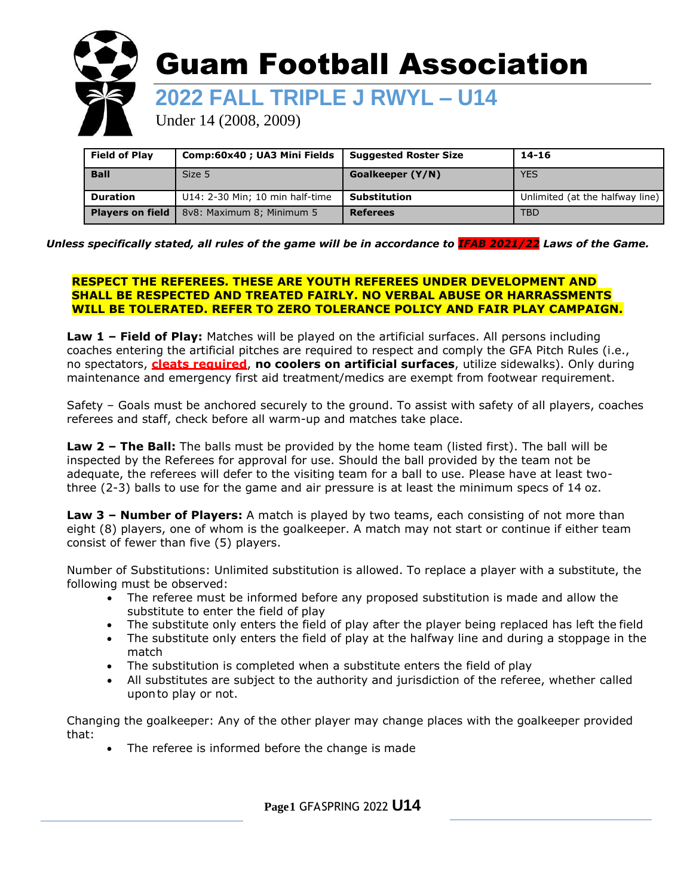

| <b>Field of Play</b>    | Comp:60x40; UA3 Mini Fields     | <b>Suggested Roster Size</b> | $14 - 16$                       |
|-------------------------|---------------------------------|------------------------------|---------------------------------|
| <b>Ball</b>             | Size 5                          | Goalkeeper (Y/N)             | <b>YES</b>                      |
| <b>Duration</b>         | U14: 2-30 Min; 10 min half-time | <b>Substitution</b>          | Unlimited (at the halfway line) |
| <b>Players on field</b> | 8v8: Maximum 8; Minimum 5       | <b>Referees</b>              | <b>TBD</b>                      |

#### *Unless specifically stated, all rules of the game will be in accordance to IFAB 2021/22 Laws of the Game.*

#### **RESPECT THE REFEREES. THESE ARE YOUTH REFEREES UNDER DEVELOPMENT AND SHALL BE RESPECTED AND TREATED FAIRLY. NO VERBAL ABUSE OR HARRASSMENTS WILL BE TOLERATED. REFER TO ZERO TOLERANCE POLICY AND FAIR PLAY CAMPAIGN.**

**Law 1 – Field of Play:** Matches will be played on the artificial surfaces. All persons including coaches entering the artificial pitches are required to respect and comply the GFA Pitch Rules (i.e., no spectators, **cleats required**, **no coolers on artificial surfaces**, utilize sidewalks). Only during maintenance and emergency first aid treatment/medics are exempt from footwear requirement.

Safety – Goals must be anchored securely to the ground. To assist with safety of all players, coaches referees and staff, check before all warm-up and matches take place.

**Law 2 – The Ball:** The balls must be provided by the home team (listed first). The ball will be inspected by the Referees for approval for use. Should the ball provided by the team not be adequate, the referees will defer to the visiting team for a ball to use. Please have at least twothree (2-3) balls to use for the game and air pressure is at least the minimum specs of 14 oz.

**Law 3 – Number of Players:** A match is played by two teams, each consisting of not more than eight (8) players, one of whom is the goalkeeper. A match may not start or continue if either team consist of fewer than five (5) players.

Number of Substitutions: Unlimited substitution is allowed. To replace a player with a substitute, the following must be observed:

- The referee must be informed before any proposed substitution is made and allow the substitute to enter the field of play
- The substitute only enters the field of play after the player being replaced has left the field<br>• The substitute only enters the field of play at the halfway line and during a stonnage in the
- The substitute only enters the field of play at the halfway line and during a stoppage in the match
- The substitution is completed when a substitute enters the field of play
- All substitutes are subject to the authority and jurisdiction of the referee, whether called uponto play or not.

Changing the goalkeeper: Any of the other player may change places with the goalkeeper provided that:

The referee is informed before the change is made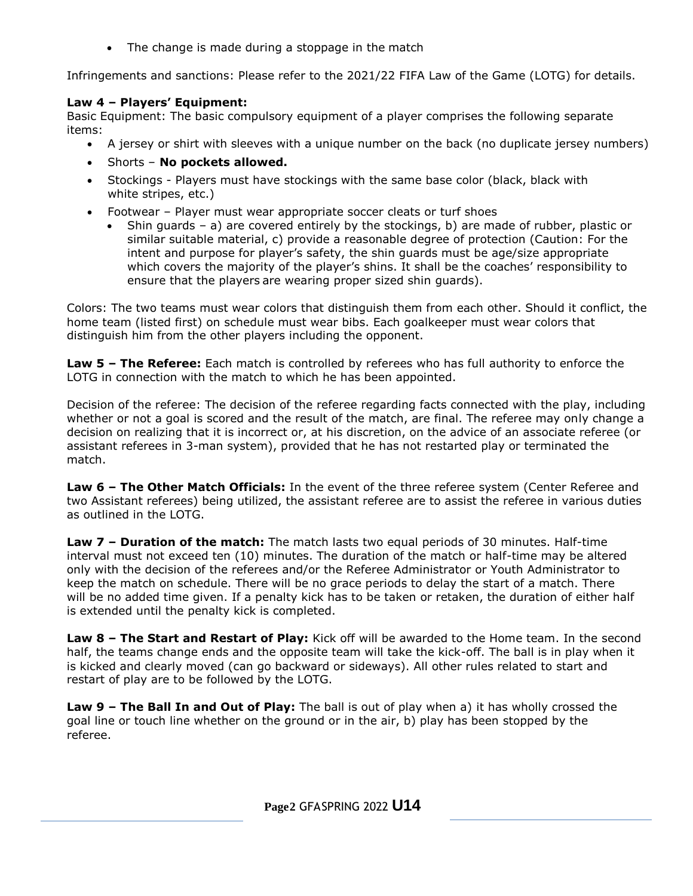• The change is made during a stoppage in the match

Infringements and sanctions: Please refer to the 2021/22 FIFA Law of the Game (LOTG) for details.

# **Law 4 – Players' Equipment:**

Basic Equipment: The basic compulsory equipment of a player comprises the following separate items:

- A jersey or shirt with sleeves with a unique number on the back (no duplicate jersey numbers)
- Shorts **No pockets allowed.**
- Stockings Players must have stockings with the same base color (black, black with white stripes, etc.)
- Footwear Player must wear appropriate soccer cleats or turf shoes
	- Shin guards a) are covered entirely by the stockings, b) are made of rubber, plastic or similar suitable material, c) provide a reasonable degree of protection (Caution: For the intent and purpose for player's safety, the shin guards must be age/size appropriate which covers the majority of the player's shins. It shall be the coaches' responsibility to ensure that the players are wearing proper sized shin guards).

Colors: The two teams must wear colors that distinguish them from each other. Should it conflict, the home team (listed first) on schedule must wear bibs. Each goalkeeper must wear colors that distinguish him from the other players including the opponent.

**Law 5 – The Referee:** Each match is controlled by referees who has full authority to enforce the LOTG in connection with the match to which he has been appointed.

Decision of the referee: The decision of the referee regarding facts connected with the play, including whether or not a goal is scored and the result of the match, are final. The referee may only change a decision on realizing that it is incorrect or, at his discretion, on the advice of an associate referee (or assistant referees in 3-man system), provided that he has not restarted play or terminated the match.

**Law 6 – The Other Match Officials:** In the event of the three referee system (Center Referee and two Assistant referees) being utilized, the assistant referee are to assist the referee in various duties as outlined in the LOTG.

**Law 7 – Duration of the match:** The match lasts two equal periods of 30 minutes. Half-time interval must not exceed ten (10) minutes. The duration of the match or half-time may be altered only with the decision of the referees and/or the Referee Administrator or Youth Administrator to keep the match on schedule. There will be no grace periods to delay the start of a match. There will be no added time given. If a penalty kick has to be taken or retaken, the duration of either half is extended until the penalty kick is completed.

**Law 8 – The Start and Restart of Play:** Kick off will be awarded to the Home team. In the second half, the teams change ends and the opposite team will take the kick-off. The ball is in play when it is kicked and clearly moved (can go backward or sideways). All other rules related to start and restart of play are to be followed by the LOTG.

**Law 9 – The Ball In and Out of Play:** The ball is out of play when a) it has wholly crossed the goal line or touch line whether on the ground or in the air, b) play has been stopped by the referee.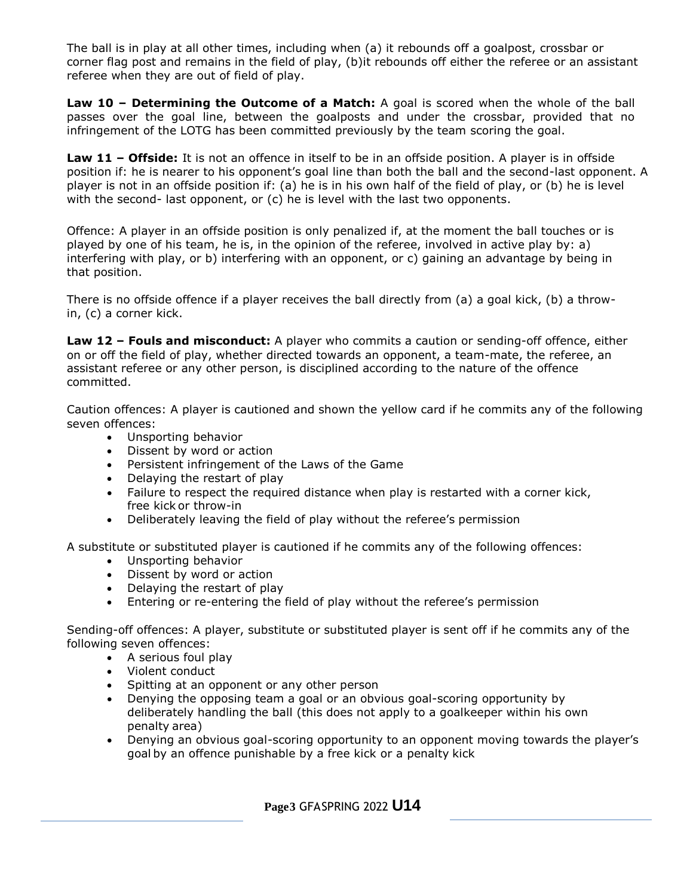The ball is in play at all other times, including when (a) it rebounds off a goalpost, crossbar or corner flag post and remains in the field of play, (b)it rebounds off either the referee or an assistant referee when they are out of field of play.

**Law 10 – Determining the Outcome of a Match:** A goal is scored when the whole of the ball passes over the goal line, between the goalposts and under the crossbar, provided that no infringement of the LOTG has been committed previously by the team scoring the goal.

**Law 11 – Offside:** It is not an offence in itself to be in an offside position. A player is in offside position if: he is nearer to his opponent's goal line than both the ball and the second-last opponent. A player is not in an offside position if: (a) he is in his own half of the field of play, or (b) he is level with the second- last opponent, or (c) he is level with the last two opponents.

Offence: A player in an offside position is only penalized if, at the moment the ball touches or is played by one of his team, he is, in the opinion of the referee, involved in active play by: a) interfering with play, or b) interfering with an opponent, or c) gaining an advantage by being in that position.

There is no offside offence if a player receives the ball directly from (a) a goal kick, (b) a throwin, (c) a corner kick.

**Law 12 – Fouls and misconduct:** A player who commits a caution or sending-off offence, either on or off the field of play, whether directed towards an opponent, a team-mate, the referee, an assistant referee or any other person, is disciplined according to the nature of the offence committed.

Caution offences: A player is cautioned and shown the yellow card if he commits any of the following seven offences:

- Unsporting behavior
- Dissent by word or action
- Persistent infringement of the Laws of the Game
- Delaying the restart of play
- Failure to respect the required distance when play is restarted with a corner kick, free kick or throw-in
- Deliberately leaving the field of play without the referee's permission

A substitute or substituted player is cautioned if he commits any of the following offences:

- Unsporting behavior
- Dissent by word or action
- Delaying the restart of play
- Entering or re-entering the field of play without the referee's permission

Sending-off offences: A player, substitute or substituted player is sent off if he commits any of the following seven offences:

- A serious foul play
- Violent conduct
- Spitting at an opponent or any other person<br>• Denving the opposing team a goal or an obvi
- Denying the opposing team a goal or an obvious goal-scoring opportunity by deliberately handling the ball (this does not apply to a goalkeeper within his own penalty area)
- Denying an obvious goal-scoring opportunity to an opponent moving towards the player's goal by an offence punishable by a free kick or a penalty kick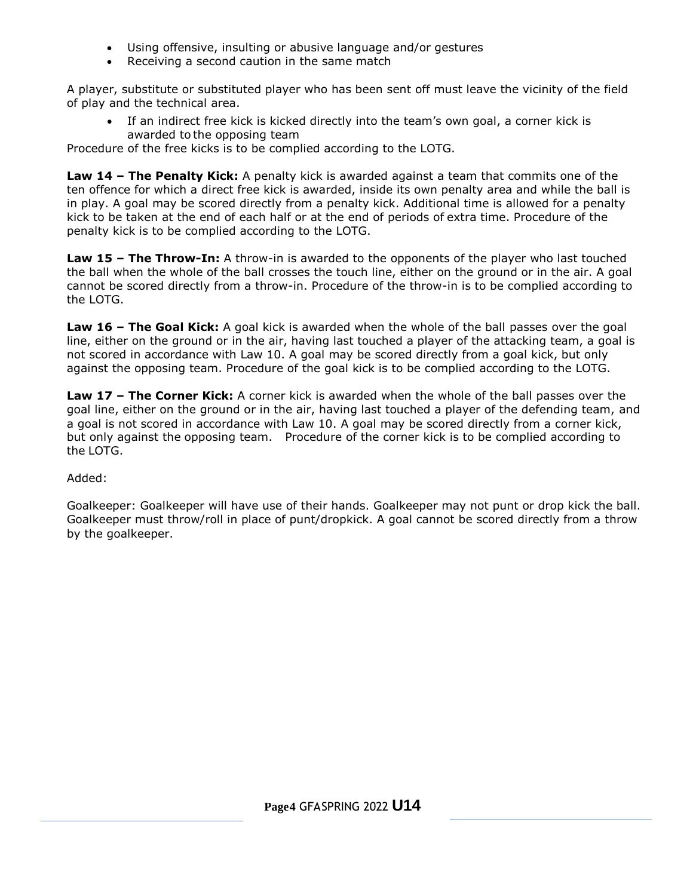- Using offensive, insulting or abusive language and/or gestures
- Receiving a second caution in the same match

A player, substitute or substituted player who has been sent off must leave the vicinity of the field of play and the technical area.

 If an indirect free kick is kicked directly into the team's own goal, a corner kick is awarded to the opposing team

Procedure of the free kicks is to be complied according to the LOTG.

**Law 14 – The Penalty Kick:** A penalty kick is awarded against a team that commits one of the ten offence for which a direct free kick is awarded, inside its own penalty area and while the ball is in play. A goal may be scored directly from a penalty kick. Additional time is allowed for a penalty kick to be taken at the end of each half or at the end of periods of extra time. Procedure of the penalty kick is to be complied according to the LOTG.

**Law 15 – The Throw-In:** A throw-in is awarded to the opponents of the player who last touched the ball when the whole of the ball crosses the touch line, either on the ground or in the air. A goal cannot be scored directly from a throw-in. Procedure of the throw-in is to be complied according to the LOTG.

**Law 16 – The Goal Kick:** A goal kick is awarded when the whole of the ball passes over the goal line, either on the ground or in the air, having last touched a player of the attacking team, a goal is not scored in accordance with Law 10. A goal may be scored directly from a goal kick, but only against the opposing team. Procedure of the goal kick is to be complied according to the LOTG.

**Law 17 – The Corner Kick:** A corner kick is awarded when the whole of the ball passes over the goal line, either on the ground or in the air, having last touched a player of the defending team, and a goal is not scored in accordance with Law 10. A goal may be scored directly from a corner kick, but only against the opposing team. Procedure of the corner kick is to be complied according to the LOTG.

## Added:

Goalkeeper: Goalkeeper will have use of their hands. Goalkeeper may not punt or drop kick the ball. Goalkeeper must throw/roll in place of punt/dropkick. A goal cannot be scored directly from a throw by the goalkeeper.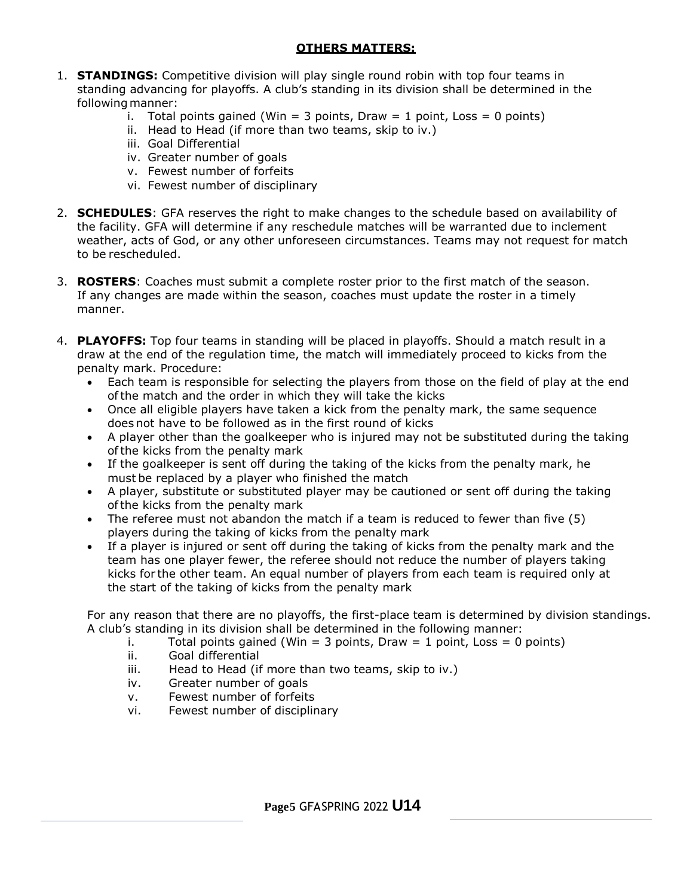# **OTHERS MATTERS:**

- 1. **STANDINGS:** Competitive division will play single round robin with top four teams in standing advancing for playoffs. A club's standing in its division shall be determined in the following manner:
	- i. Total points gained (Win = 3 points, Draw = 1 point, Loss = 0 points)
	- ii. Head to Head (if more than two teams, skip to iv.)
	- iii. Goal Differential
	- iv. Greater number of goals
	- v. Fewest number of forfeits
	- vi. Fewest number of disciplinary
- 2. **SCHEDULES**: GFA reserves the right to make changes to the schedule based on availability of the facility. GFA will determine if any reschedule matches will be warranted due to inclement weather, acts of God, or any other unforeseen circumstances. Teams may not request for match to be rescheduled.
- 3. **ROSTERS**: Coaches must submit a complete roster prior to the first match of the season. If any changes are made within the season, coaches must update the roster in a timely manner.
- 4. **PLAYOFFS:** Top four teams in standing will be placed in playoffs. Should a match result in a draw at the end of the regulation time, the match will immediately proceed to kicks from the penalty mark. Procedure:
	- Each team is responsible for selecting the players from those on the field of play at the end ofthe match and the order in which they will take the kicks
	- Once all eligible players have taken a kick from the penalty mark, the same sequence does not have to be followed as in the first round of kicks
	- A player other than the goalkeeper who is injured may not be substituted during the taking ofthe kicks from the penalty mark
	- If the goalkeeper is sent off during the taking of the kicks from the penalty mark, he must be replaced by a player who finished the match
	- A player, substitute or substituted player may be cautioned or sent off during the taking ofthe kicks from the penalty mark
	- The referee must not abandon the match if a team is reduced to fewer than five (5) players during the taking of kicks from the penalty mark
	- If a player is injured or sent off during the taking of kicks from the penalty mark and the team has one player fewer, the referee should not reduce the number of players taking kicks for the other team. An equal number of players from each team is required only at the start of the taking of kicks from the penalty mark

For any reason that there are no playoffs, the first-place team is determined by division standings. A club's standing in its division shall be determined in the following manner:

- i. Total points gained (Win  $=$  3 points, Draw  $=$  1 point, Loss  $=$  0 points)
- ii. Goal differential
- iii. Head to Head (if more than two teams, skip to iv.)
- iv. Greater number of goals
- v. Fewest number of forfeits
- vi. Fewest number of disciplinary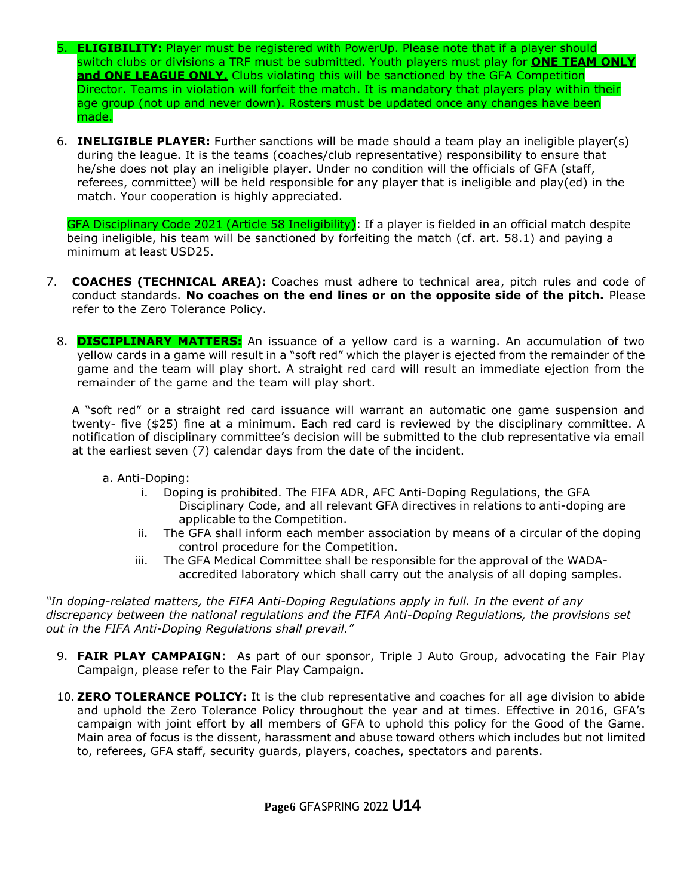- 5. **ELIGIBILITY:** Player must be registered with PowerUp. Please note that if a player should switch clubs or divisions a TRF must be submitted. Youth players must play for **ONE TEAM ONLY and ONE LEAGUE ONLY.** Clubs violating this will be sanctioned by the GFA Competition Director. Teams in violation will forfeit the match. It is mandatory that players play within their age group (not up and never down). Rosters must be updated once any changes have been made.
- 6. **INELIGIBLE PLAYER:** Further sanctions will be made should a team play an ineligible player(s) during the league. It is the teams (coaches/club representative) responsibility to ensure that he/she does not play an ineligible player. Under no condition will the officials of GFA (staff, referees, committee) will be held responsible for any player that is ineligible and play(ed) in the match. Your cooperation is highly appreciated.

GFA Disciplinary Code 2021 (Article 58 Ineligibility): If a player is fielded in an official match despite being ineligible, his team will be sanctioned by forfeiting the match (cf. art. 58.1) and paying a minimum at least USD25.

- 7. **COACHES (TECHNICAL AREA):** Coaches must adhere to technical area, pitch rules and code of conduct standards. **No coaches on the end lines or on the opposite side of the pitch.** Please refer to the Zero Tolerance Policy.
	- 8. **DISCIPLINARY MATTERS:** An issuance of a yellow card is a warning. An accumulation of two yellow cards in a game will result in a "soft red" which the player is ejected from the remainder of the game and the team will play short. A straight red card will result an immediate ejection from the remainder of the game and the team will play short.

A "soft red" or a straight red card issuance will warrant an automatic one game suspension and twenty- five (\$25) fine at a minimum. Each red card is reviewed by the disciplinary committee. A notification of disciplinary committee's decision will be submitted to the club representative via email at the earliest seven (7) calendar days from the date of the incident.

- a. Anti-Doping:
	- i. Doping is prohibited. The FIFA ADR, AFC Anti-Doping Regulations, the GFA Disciplinary Code, and all relevant GFA directives in relations to anti-doping are applicable to the Competition.
	- ii. The GFA shall inform each member association by means of a circular of the doping control procedure for the Competition.
	- iii. The GFA Medical Committee shall be responsible for the approval of the WADAaccredited laboratory which shall carry out the analysis of all doping samples.

*"In doping-related matters, the FIFA Anti-Doping Regulations apply in full. In the event of any discrepancy between the national regulations and the FIFA Anti-Doping Regulations, the provisions set out in the FIFA Anti-Doping Regulations shall prevail."*

- 9. **FAIR PLAY CAMPAIGN**: As part of our sponsor, Triple J Auto Group, advocating the Fair Play Campaign, please refer to the Fair Play Campaign.
- 10. **ZERO TOLERANCE POLICY:** It is the club representative and coaches for all age division to abide and uphold the Zero Tolerance Policy throughout the year and at times. Effective in 2016, GFA's campaign with joint effort by all members of GFA to uphold this policy for the Good of the Game. Main area of focus is the dissent, harassment and abuse toward others which includes but not limited to, referees, GFA staff, security guards, players, coaches, spectators and parents.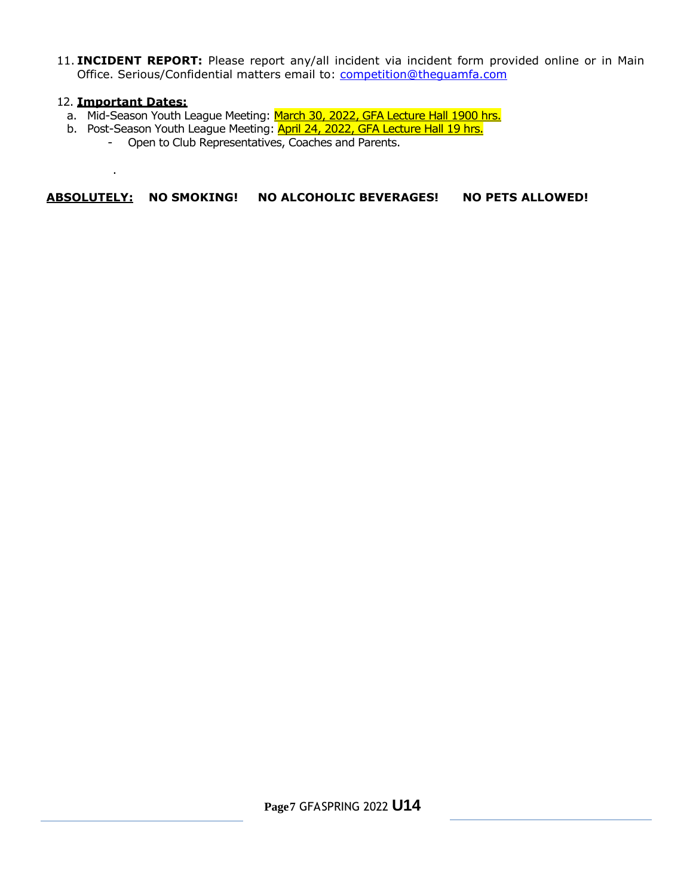11. **INCIDENT REPORT:** Please report any/all incident via incident form provided online or in Main Office. Serious/Confidential matters email to: [competition@theguamfa.com](mailto:competition@theguamfa.com)

#### 12. **Important Dates:**

.

- a. Mid-Season Youth League Meeting: March 30, 2022, GFA Lecture Hall 1900 hrs.
- b. Post-Season Youth League Meeting: **April 24, 2022, GFA Lecture Hall 19 hrs.** 
	- Open to Club Representatives, Coaches and Parents.

## **ABSOLUTELY: NO SMOKING! NO ALCOHOLIC BEVERAGES! NO PETS ALLOWED!**